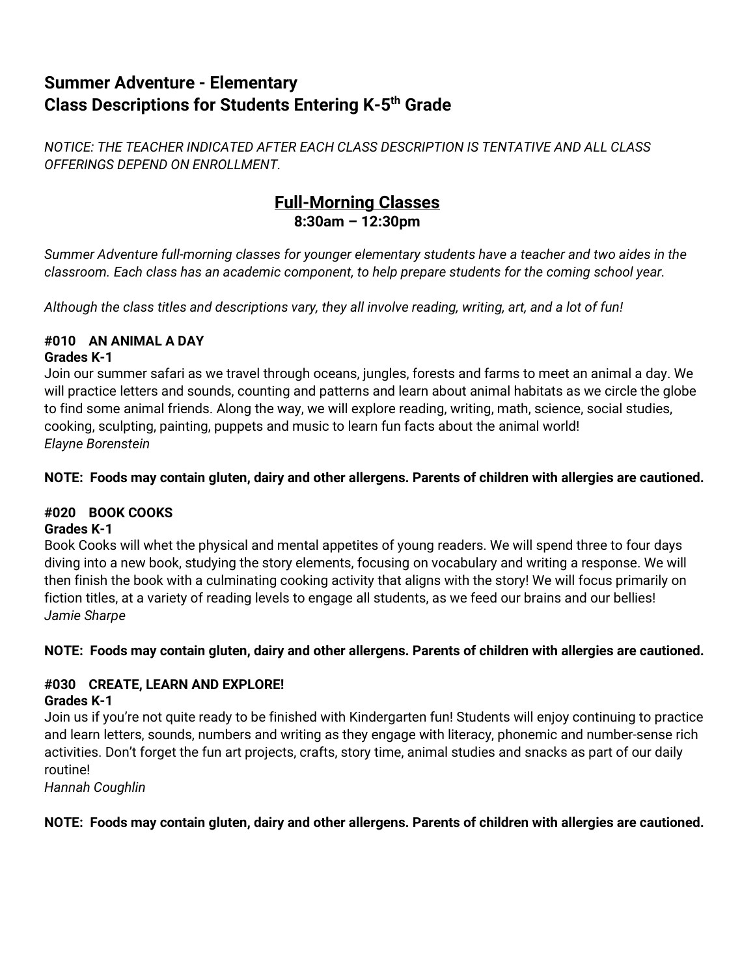# **Summer Adventure - Elementary Class Descriptions for Students Entering K-5th Grade**

*NOTICE: THE TEACHER INDICATED AFTER EACH CLASS DESCRIPTION IS TENTATIVE AND ALL CLASS OFFERINGS DEPEND ON ENROLLMENT.*

# **Full-Morning Classes 8:30am – 12:30pm**

*Summer Adventure full-morning classes for younger elementary students have a teacher and two aides in the classroom. Each class has an academic component, to help prepare students for the coming school year.* 

*Although the class titles and descriptions vary, they all involve reading, writing, art, and a lot of fun!*

## **#010 AN ANIMAL A DAY**

#### **Grades K-1**

Join our summer safari as we travel through oceans, jungles, forests and farms to meet an animal a day. We will practice letters and sounds, counting and patterns and learn about animal habitats as we circle the globe to find some animal friends. Along the way, we will explore reading, writing, math, science, social studies, cooking, sculpting, painting, puppets and music to learn fun facts about the animal world! *Elayne Borenstein*

#### **NOTE: Foods may contain gluten, dairy and other allergens. Parents of children with allergies are cautioned.**

## **#020 BOOK COOKS**

## **Grades K-1**

Book Cooks will whet the physical and mental appetites of young readers. We will spend three to four days diving into a new book, studying the story elements, focusing on vocabulary and writing a response. We will then finish the book with a culminating cooking activity that aligns with the story! We will focus primarily on fiction titles, at a variety of reading levels to engage all students, as we feed our brains and our bellies! *Jamie Sharpe*

## **NOTE: Foods may contain gluten, dairy and other allergens. Parents of children with allergies are cautioned.**

#### **#030 CREATE, LEARN AND EXPLORE! Grades K-1**

Join us if you're not quite ready to be finished with Kindergarten fun! Students will enjoy continuing to practice and learn letters, sounds, numbers and writing as they engage with literacy, phonemic and number-sense rich activities. Don't forget the fun art projects, crafts, story time, animal studies and snacks as part of our daily routine!

*Hannah Coughlin* 

## **NOTE: Foods may contain gluten, dairy and other allergens. Parents of children with allergies are cautioned.**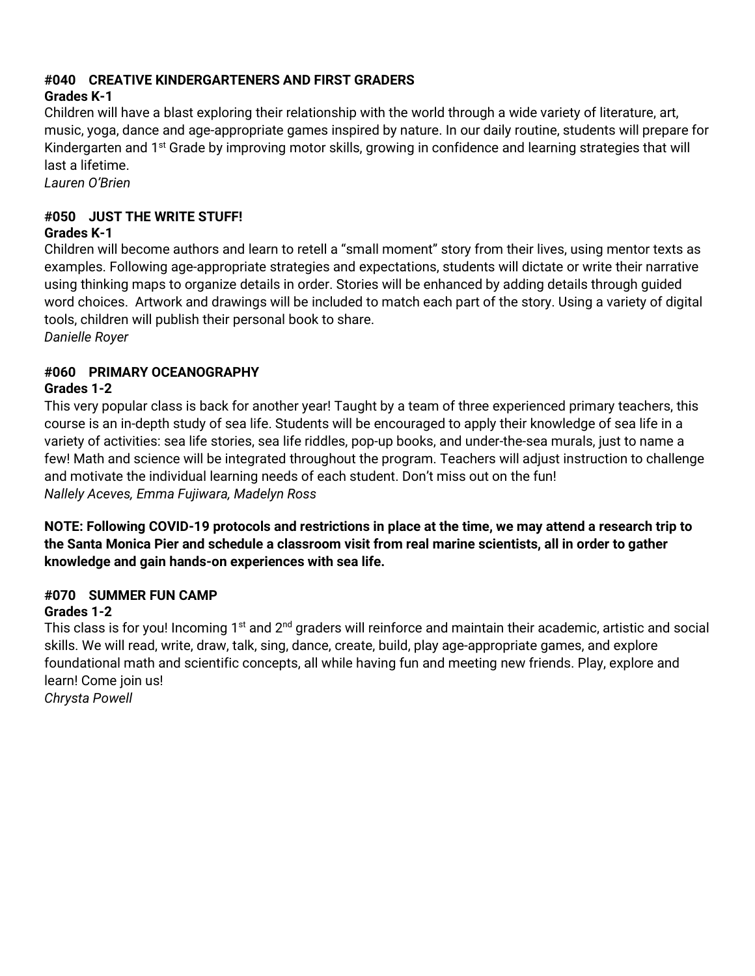#### **#040 CREATIVE KINDERGARTENERS AND FIRST GRADERS**

## **Grades K-1**

Children will have a blast exploring their relationship with the world through a wide variety of literature, art, music, yoga, dance and age-appropriate games inspired by nature. In our daily routine, students will prepare for Kindergarten and 1<sup>st</sup> Grade by improving motor skills, growing in confidence and learning strategies that will last a lifetime.

*Lauren O'Brien*

#### **#050 JUST THE WRITE STUFF! Grades K-1**

Children will become authors and learn to retell a "small moment" story from their lives, using mentor texts as examples. Following age-appropriate strategies and expectations, students will dictate or write their narrative using thinking maps to organize details in order. Stories will be enhanced by adding details through guided word choices. Artwork and drawings will be included to match each part of the story. Using a variety of digital tools, children will publish their personal book to share.

*Danielle Royer*

# **#060 PRIMARY OCEANOGRAPHY**

#### **Grades 1-2**

This very popular class is back for another year! Taught by a team of three experienced primary teachers, this course is an in-depth study of sea life. Students will be encouraged to apply their knowledge of sea life in a variety of activities: sea life stories, sea life riddles, pop-up books, and under-the-sea murals, just to name a few! Math and science will be integrated throughout the program. Teachers will adjust instruction to challenge and motivate the individual learning needs of each student. Don't miss out on the fun! *Nallely Aceves, Emma Fujiwara, Madelyn Ross*

**NOTE: Following COVID-19 protocols and restrictions in place at the time, we may attend a research trip to the Santa Monica Pier and schedule a classroom visit from real marine scientists, all in order to gather knowledge and gain hands-on experiences with sea life.**

## **#070 SUMMER FUN CAMP**

#### **Grades 1-2**

This class is for you! Incoming 1<sup>st</sup> and 2<sup>nd</sup> graders will reinforce and maintain their academic, artistic and social skills. We will read, write, draw, talk, sing, dance, create, build, play age-appropriate games, and explore foundational math and scientific concepts, all while having fun and meeting new friends. Play, explore and learn! Come join us!

*Chrysta Powell*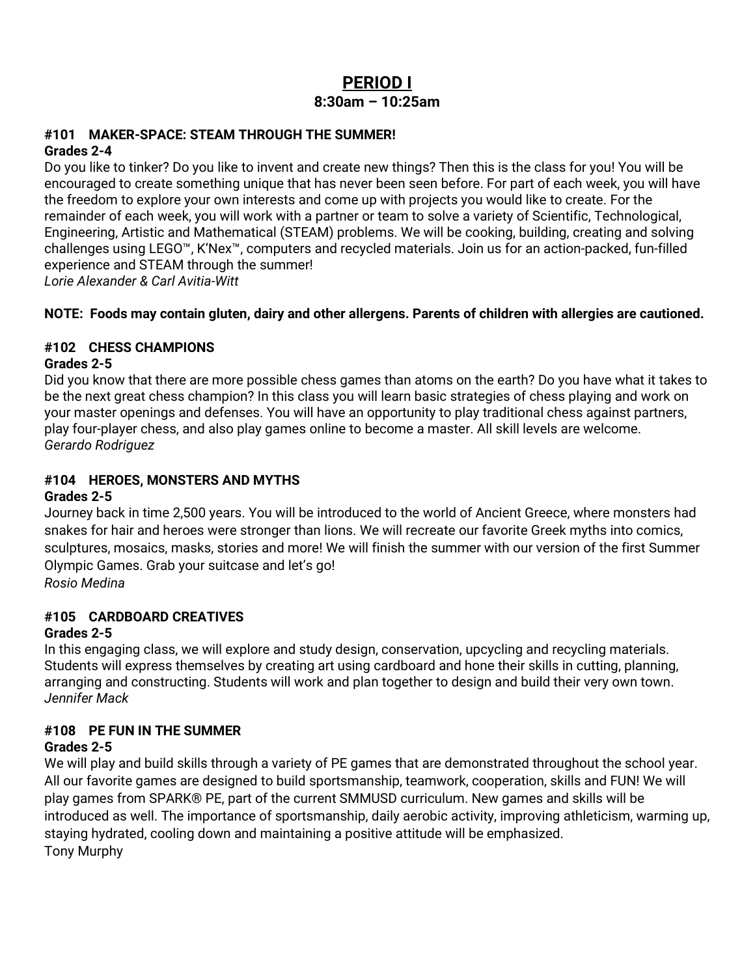# **PERIOD I 8:30am – 10:25am**

#### **#101 MAKER-SPACE: STEAM THROUGH THE SUMMER! Grades 2-4**

Do you like to tinker? Do you like to invent and create new things? Then this is the class for you! You will be encouraged to create something unique that has never been seen before. For part of each week, you will have the freedom to explore your own interests and come up with projects you would like to create. For the remainder of each week, you will work with a partner or team to solve a variety of Scientific, Technological, Engineering, Artistic and Mathematical (STEAM) problems. We will be cooking, building, creating and solving challenges using LEGO™, K'Nex™, computers and recycled materials. Join us for an action-packed, fun-filled experience and STEAM through the summer!

*Lorie Alexander & Carl Avitia-Witt*

#### **NOTE: Foods may contain gluten, dairy and other allergens. Parents of children with allergies are cautioned.**

## **#102 CHESS CHAMPIONS**

#### **Grades 2-5**

Did you know that there are more possible chess games than atoms on the earth? Do you have what it takes to be the next great chess champion? In this class you will learn basic strategies of chess playing and work on your master openings and defenses. You will have an opportunity to play traditional chess against partners, play four-player chess, and also play games online to become a master. All skill levels are welcome. *Gerardo Rodriguez*

# **#104 HEROES, MONSTERS AND MYTHS**

#### **Grades 2-5**

Journey back in time 2,500 years. You will be introduced to the world of Ancient Greece, where monsters had snakes for hair and heroes were stronger than lions. We will recreate our favorite Greek myths into comics, sculptures, mosaics, masks, stories and more! We will finish the summer with our version of the first Summer Olympic Games. Grab your suitcase and let's go!

*Rosio Medina*

## **#105 CARDBOARD CREATIVES**

## **Grades 2-5**

In this engaging class, we will explore and study design, conservation, upcycling and recycling materials. Students will express themselves by creating art using cardboard and hone their skills in cutting, planning, arranging and constructing. Students will work and plan together to design and build their very own town. *Jennifer Mack*

## **#108 PE FUN IN THE SUMMER**

## **Grades 2-5**

We will play and build skills through a variety of PE games that are demonstrated throughout the school year. All our favorite games are designed to build sportsmanship, teamwork, cooperation, skills and FUN! We will play games from SPARK® PE, part of the current SMMUSD curriculum. New games and skills will be introduced as well. The importance of sportsmanship, daily aerobic activity, improving athleticism, warming up, staying hydrated, cooling down and maintaining a positive attitude will be emphasized. Tony Murphy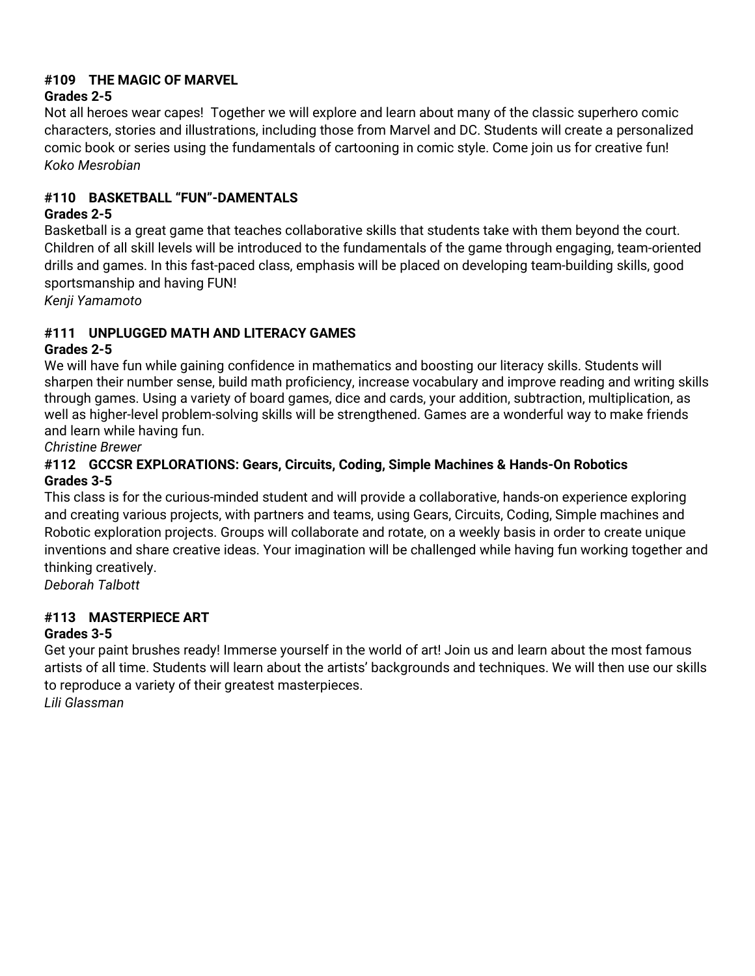## **#109 THE MAGIC OF MARVEL**

#### **Grades 2-5**

Not all heroes wear capes! Together we will explore and learn about many of the classic superhero comic characters, stories and illustrations, including those from Marvel and DC. Students will create a personalized comic book or series using the fundamentals of cartooning in comic style. Come join us for creative fun! *Koko Mesrobian*

#### **#110 BASKETBALL "FUN"-DAMENTALS**

#### **Grades 2-5**

Basketball is a great game that teaches collaborative skills that students take with them beyond the court. Children of all skill levels will be introduced to the fundamentals of the game through engaging, team-oriented drills and games. In this fast-paced class, emphasis will be placed on developing team-building skills, good sportsmanship and having FUN!

*Kenji Yamamoto*

## **#111 UNPLUGGED MATH AND LITERACY GAMES**

#### **Grades 2-5**

We will have fun while gaining confidence in mathematics and boosting our literacy skills. Students will sharpen their number sense, build math proficiency, increase vocabulary and improve reading and writing skills through games. Using a variety of board games, dice and cards, your addition, subtraction, multiplication, as well as higher-level problem-solving skills will be strengthened. Games are a wonderful way to make friends and learn while having fun.

*Christine Brewer* 

#### **#112 GCCSR EXPLORATIONS: Gears, Circuits, Coding, Simple Machines & Hands-On Robotics Grades 3-5**

This class is for the curious-minded student and will provide a collaborative, hands-on experience exploring and creating various projects, with partners and teams, using Gears, Circuits, Coding, Simple machines and Robotic exploration projects. Groups will collaborate and rotate, on a weekly basis in order to create unique inventions and share creative ideas. Your imagination will be challenged while having fun working together and thinking creatively.

*Deborah Talbott*

# **#113 MASTERPIECE ART**

## **Grades 3-5**

Get your paint brushes ready! Immerse yourself in the world of art! Join us and learn about the most famous artists of all time. Students will learn about the artists' backgrounds and techniques. We will then use our skills to reproduce a variety of their greatest masterpieces.

*Lili Glassman*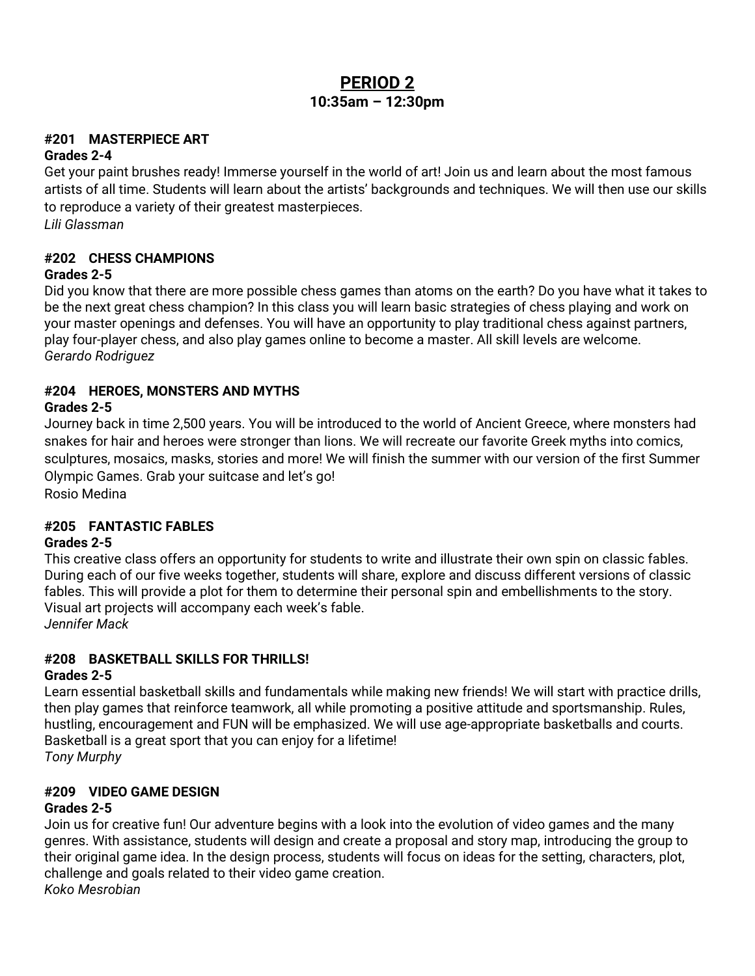# **PERIOD 2 10:35am – 12:30pm**

#### **#201 MASTERPIECE ART**

#### **Grades 2-4**

Get your paint brushes ready! Immerse yourself in the world of art! Join us and learn about the most famous artists of all time. Students will learn about the artists' backgrounds and techniques. We will then use our skills to reproduce a variety of their greatest masterpieces. *Lili Glassman*

# **#202 CHESS CHAMPIONS**

#### **Grades 2-5**

Did you know that there are more possible chess games than atoms on the earth? Do you have what it takes to be the next great chess champion? In this class you will learn basic strategies of chess playing and work on your master openings and defenses. You will have an opportunity to play traditional chess against partners, play four-player chess, and also play games online to become a master. All skill levels are welcome. *Gerardo Rodriguez*

#### **#204 HEROES, MONSTERS AND MYTHS**

#### **Grades 2-5**

Journey back in time 2,500 years. You will be introduced to the world of Ancient Greece, where monsters had snakes for hair and heroes were stronger than lions. We will recreate our favorite Greek myths into comics, sculptures, mosaics, masks, stories and more! We will finish the summer with our version of the first Summer Olympic Games. Grab your suitcase and let's go!

Rosio Medina

## **#205 FANTASTIC FABLES**

#### **Grades 2-5**

This creative class offers an opportunity for students to write and illustrate their own spin on classic fables. During each of our five weeks together, students will share, explore and discuss different versions of classic fables. This will provide a plot for them to determine their personal spin and embellishments to the story. Visual art projects will accompany each week's fable. *Jennifer Mack*

#### **#208 BASKETBALL SKILLS FOR THRILLS!**

#### **Grades 2-5**

Learn essential basketball skills and fundamentals while making new friends! We will start with practice drills, then play games that reinforce teamwork, all while promoting a positive attitude and sportsmanship. Rules, hustling, encouragement and FUN will be emphasized. We will use age-appropriate basketballs and courts. Basketball is a great sport that you can enjoy for a lifetime! *Tony Murphy*

#### **#209 VIDEO GAME DESIGN**

#### **Grades 2-5**

Join us for creative fun! Our adventure begins with a look into the evolution of video games and the many genres. With assistance, students will design and create a proposal and story map, introducing the group to their original game idea. In the design process, students will focus on ideas for the setting, characters, plot, challenge and goals related to their video game creation. *Koko Mesrobian*